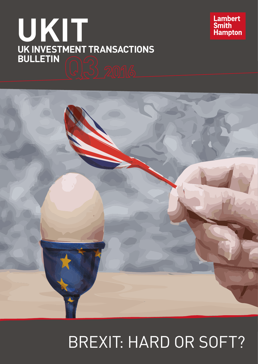# **UKIT UK INVESTMENT TRANSACTIONS BULLETIN**





## BREXIT: HARD OR SOFT?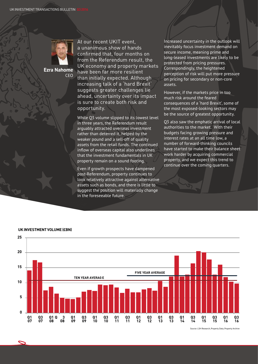

**Ezra Nahome** CEO At our recent UKIT event, a unanimous show of hands confirmed that, four months on from the Referendum result, the UK economy and property markets have been far more resilient than initially expected. Although increasing talk of a 'hard Brexit' suggests greater challenges lie ahead, uncertainty over its impact is sure to create both risk and opportunity.

While Q3 volume slipped to its lowest level in three years, the Referendum result arguably attracted overseas investment rather than deterred it, helped by the weaker pound and a sell-off of quality assets from the retail funds. The continued inflow of overseas capital also underlines that the investment fundamentals in UK property remain on a sound footing.

Even if growth prospects have dampened post-Referendum, property continues to look relatively attractive against alternative assets such as bonds, and there is little to suggest the position will materially change in the foreseeable future.

Increased uncertainty in the outlook will inevitably focus investment demand on secure income, meaning prime and long-leased investments are likely to be protected from pricing pressures. Correspondingly, the heightened perception of risk will put more pressure on pricing for secondary or non-core assets.

However, if the markets price in too much risk around the feared consequences of a 'hard Brexit', some of the most exposed-looking sectors may be the source of greatest opportunity.

Q3 also saw the emphatic arrival of local authorities to the market. With their budgets facing growing pressure and interest rates at an all time low, a number of forward-thinking councils have started to make their balance sheet work harder by acquiring commercial property, and we expect this trend to continue over the coming quarters.



**UK INVESTMENT VOLUME (£BN)**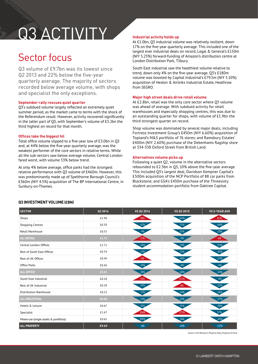## Q3 ACTIVITY

### Sector focus

Q3 volume of £9.7bn was its lowest since Q2 2013 and 22% below the five-year quarterly average. The majority of sectors recorded below average volume, with shops and specialist the only exceptions.

#### **September rally rescues quiet quarter**

Q3's subdued volume largely reflected an extremely quiet summer period, as the market came to terms with the shock of the Referendum result. However, activity recovered significantly in the latter part of Q3, with September's volume of £5.2bn the third highest on record for that month.

#### **Offices take the biggest hit**

Total office volume slipped to a five-year low of £3.0bn in Q3 and, at 44% below the five-year quarterly average, was the weakest performer of the core sectors in relative terms. While all the sub-sectors saw below average volume, Central London fared worst, with volume 53% below trend.

At only 4% below average, office parks had the strongest relative performance with Q3 volume of £460m. However, this was predominantly made up of Spelthorne Borough Council's £360m (NIY 4.5%) acquisition of The BP International Centre, in Sunbury-on-Thames.

#### **Industrial activity holds up**

At £1.0bn, Q3 industrial volume was relatively resilient, down 17% on the five-year quarterly average. This included one of the largest ever industrial deals on record, Legal & General's £150m (NIY 5.25%) forward-funding of Amazon's distribution centre at London Distribution Park, Tilbury

South East industrial saw the healthiest volume relative to trend, down only 4% on the five-year average. Q3's £180m volume was boosted by Capital Industrial's £79.5m (NIY 5.10%) acquisition of Heston & Airlinks Industrial Estate, Heathrow from SEGRO.

#### **Major high street deals drive retail volume**

At £2.8bn, retail was the only core sector where Q3 volume was ahead of average. With subdued activity for retail warehouses and especially shopping centres, this was due to an outstanding quarter for shops, with volume of £1.9bn the third strongest quarter on record.

Shop volume was dominated by several major deals, including Fortress Investment Group's £450m (NIY 6.60%) acquisition of Topland's M&S portfolio of 76 stores; and Ramsbury Estates' £400m (NIY 2.60%) purchase of the Debenhams flagship store at 334-338 Oxford Street from British Land.

#### **Alternatives volume picks up**

Following a quiet Q2, volume in the alternative sectors rebounded to £2.3bn in Q3, 10% above the five-year average. This included Q3's largest deal, Davidson Kempner Capital's £500m acquisition of the NCP Portfolio of 88 car parks from Blackstone; and GSA's £430m purchase of the Threesixty student accommodation portfolio from Oaktree Capital.

|  |  |  |  |  | Q3 INVESTMENT VOLUME (£BN) |  |
|--|--|--|--|--|----------------------------|--|
|--|--|--|--|--|----------------------------|--|

| <b>SECTOR</b>                          | Q3 2016 | VS Q2 2016 | VS Q3 2015 | <b>VS 5-YEAR AVG</b> |
|----------------------------------------|---------|------------|------------|----------------------|
| Shops                                  | £1.90   | 98%        | 144%       | 81%                  |
| <b>Shopping Centres</b>                | £0.30   | $-62%$     | $-71%$     | $-68%$               |
| <b>Retail Warehouse</b>                | £0.55   | $-9%$      | $-55%$     | $-10%$               |
| <b>ALL RETAIL</b>                      | £2.75   | 17%        | $-9%$      | 6%                   |
| Central London Offices                 | £1.72   | $-44%$     | $-53%$     | $-53%$               |
| Rest of South East Offices             | £0.34   | $-13%$     | $-52%$     | $-43%$               |
| Rest of UK Offices                     | £0.49   | 4%         | $-48%$     | $-23%$               |
| Office Parks                           | £0.46   | $-49%$     | $-4%$      | $-4%$                |
| <b>ALL OFFICE</b>                      | £3.01   | $-38%$     | $-48%$     | $-44%$               |
| South East Industrial                  | £0.18   | 50%        | 115%       | $-4%$                |
| Rest of UK Industrial                  | £0.28   | $-25%$     | 6%         | $-21%$               |
| <b>Distribution Warehouse</b>          | £0.52   | $-17%$     | $-44%$     | $-18%$               |
| <b>ALL INDUSTRIAL</b>                  | £0.98   | $-13%$     | $-23%$     | $-17%$               |
| Hotels & Leisure                       | £0.67   | $-35%$     | $-51%$     | $-38%$               |
| Specialist                             | £1.67   | 106%       | 273%       | .57%                 |
| Mixed-use (single assets & portfolios) | £0.62   | 203%       | $-26%$     | $-43%$               |
| <b>ALL PROPERTY</b>                    | £9.69   | $-6%$      | $-24%$     | $-22%$               |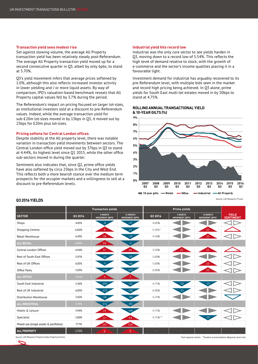#### **Transaction yield sees modest rise**

Set against slowing volume, the average All Property transaction yield has been relatively steady post-Referendum. The average All Property transaction yield moved up for a second consecutive quarter in Q3, albeit by only 6pbs, to stand at 5.70%.

Q3's yield movement infers that average prices softened by 1.0%, although this also reflects increased investor activity in lower yielding and / or more liquid assets. By way of comparison, IPD's valuation-based benchmark reveals that All Property capital values fell by 3.7% during the period.

The Referendum's impact on pricing focused on larger lot-sizes, as institutional investors sold at a discount to pre-Referendum values. Indeed, while the average transaction yield for sub-£20m lot-sizes moved in by 15bps in Q3, it moved out by 25bps for £20m plus lot-sizes.

#### **Pricing softens for Central London offices**

Despite stability at the All property level, there was notable variation in transaction yield movements between sectors. The Central London office yield moved out by 37bps in Q3 to stand at 4.44%, its highest level since Q1 2015, while the other office sub-sectors moved in during the quarter.

Sentiment also indicates that, since Q2, prime office yields have also softened by circa 25bps in the City and West End. This reflects both a more bearish stance over the medium term prospects for the occupier markets and a willingness to sell at a discount to pre-Referendum levels.

#### **Industrial yield hits record low**

Industrial was the only core sector to see yields harden in Q3, moving down to a record low of 5.54%. This reflects the high level of demand relative to stock, with the growth of e-commerce and the sector's income qualities placing it in a favourable light.

Investment demand for industrial has arguably recovered to its pre-Referendum level, with multiple bids seen in the market and record high pricing being achieved. In Q3 alone, prime yields for South East multi-let estates moved in by 50bps to  $\frac{1}{1}$ stand at 4.75%.

#### **ROLLING ANNUAL TRANSACTIONAL YIELD & 10-YEAR GILTS (%)**



Source: LSH Research, FT.com

|                                        | <b>Transaction yields</b> |                                  |                                   | Prime yields |                                  |                                   |                                  |
|----------------------------------------|---------------------------|----------------------------------|-----------------------------------|--------------|----------------------------------|-----------------------------------|----------------------------------|
| <b>SECTOR</b>                          | Q3 2016                   | 3 MONTH<br><b>MOVEMENT (BPS)</b> | 12 MONTH<br><b>MOVEMENT (BPS)</b> | Q3 2016      | 3 MONTH<br><b>MOVEMENT (BPS)</b> | 12 MONTH<br><b>MOVEMENT (BPS)</b> | <b>YIELD</b><br><b>SENTIMENT</b> |
| Shops                                  | 4.45%                     | $-8$                             | $-37$                             | 4.00%        |                                  |                                   |                                  |
| Shopping Centres                       | 6.60%                     | 9                                | 25                                | 5.50%*       |                                  | 25                                |                                  |
| Retail Warehouse                       | 6.43%                     | 78                               | $-10$                             | 4.50%        |                                  | 25                                |                                  |
| <b>ALL RETAIL</b>                      | 6.00%                     | 34                               | $-2$                              |              |                                  |                                   |                                  |
| Central London Offices                 | 4.44%                     | 37                               | 69                                | 3.50%        | 25                               | 25                                |                                  |
| Rest of South East Offices             | 5.97%                     | $-21$                            | $-93$                             | 5.00%        |                                  |                                   |                                  |
| Rest of UK Offices                     | 6.05%                     | 45                               | $-66$                             | 5.00%        |                                  | 25                                |                                  |
| Office Parks                           | 5.03%                     | $-198.$                          | $-192$                            | 6.00%        |                                  | 25                                |                                  |
| <b>ALL OFFICE</b>                      | 4.91%                     |                                  |                                   |              |                                  |                                   |                                  |
| South East Industrial                  | 5.36%                     | $-205$                           | $-61$                             | 4.75%        | $-50$                            | $-25$                             |                                  |
| Rest of UK Industrial                  | 6.05%                     | $-153$                           | $-141$                            | 6.00%        | $-25$                            |                                   |                                  |
| Distribution Warehouse                 | 5.42%                     | $-16$                            | $-68$                             | 4.25%        |                                  |                                   |                                  |
| <b>ALL INDUSTRIAL</b>                  | 5.54%                     | $-152$                           | $-82$                             | ×.           |                                  |                                   |                                  |
| Hotels & Leisure                       | 5.94%                     | 33                               | $-64$                             | 4.75%        |                                  |                                   |                                  |
| Specialist                             | 5.80%                     | 17                               | 44                                | 4.75%**      |                                  | $-25$                             |                                  |
| Mixed-use (single assets & portfolios) | 7.77%                     | 192                              | 318                               | $\sim$       |                                  |                                   |                                  |
| <b>ALL PROPERTY</b>                    | 5.70%                     | 6                                | 5                                 |              |                                  |                                   |                                  |

#### **Q3 2016 YIELDS**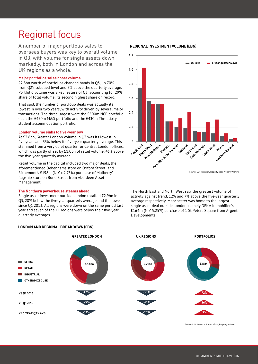### Regional focus

A number of major portfolio sales to overseas buyers was key to overall volume in Q3, with volume for single assets down markedly, both in London and across the UK regions as a whole.

#### **Major portfolios sales boost volume**

£2.8bn worth of portfolios changed hands in Q3, up 70% from Q2's subdued level and 3% above the quarterly average. Portfolio volume was a key feature of Q3, accounting for 29% share of total volume, its second highest share on record.

That said, the number of portfolio deals was actually its lowest in over two years, with activity driven by several major transactions. The three largest were the £500m NCP portfolio deal; the £450m M&S portfolio and the £430m Threesixty student accommodation portfolio.

#### **London volume sinks to five-year low**

At £3.8bn, Greater London volume in Q3 was its lowest in five years and 33% below its five-year quarterly average. This stemmed from a very quiet quarter for Central London offices, which was partly offset by £1.0bn of retail volume, 43% above the five-year quarterly average.

Retail volume in the capital included two major deals, the aforementioned Debenhams store on Oxford Street; and Richemont's £198m (NIY c.2.75%) purchase of Mulberry's flagship store on Bond Street from Aberdeen Asset Management.

#### **The Northern powerhouse steams ahead**

Single asset investment outside London totalled £2.9bn in Q3, 28% below the five-year quarterly average and the lowest since Q1 2013. All regions were down on the same period last year and seven of the 11 regions were below their five-year quarterly averages.

#### **LONDON AND REGIONAL BREAKDOWN (£BN)**

### Source: LSH Research, Property Data, Property Archive **Q3 2016 5-year quarterly avg 0 0.2 0.4 0.6 0.8 1.0 1.2** South East **North West** West Midlands **Eastern Eastern Humber**<br>Barteshire & the Humber Scotland **North East East Midlands** South West **Wales**<br>Northern Ireland

The North East and North West saw the greatest volume of activity against trend, 12% and 7% above the five-year quarterly average respectively. Manchester was home to the largest single asset deal outside London, namely DEKA Immobilien's £164m (NIY 5.25%) purchase of 1 St Peters Square from Argent Developments.



Source: LSH Research, Property Data, Property Archive

#### **REGIONAL INVESTMENT VOLUME (£BN)**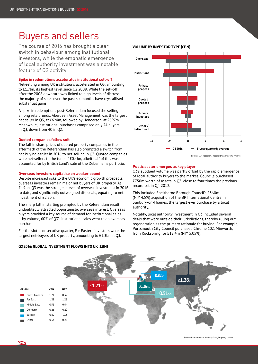### Buyers and sellers

The course of 2016 has brought a clear switch in behaviour among institutional investors, while the emphatic emergence of local authority investment was a notable feature of Q3 activity.

#### **Spike in redemptions accelerates institutional sell-off**

Net-selling among UK institutions accelerated in Q3, amounting to £1.7bn, its highest level since Q2 2008. While the sell-off after the 2008 downturn was linked to high levels of distress, the majority of sales over the past six months have crystallised substantial gains.

A spike in redemptions post-Referendum focused the selling among retail funds. Aberdeen Asset Management was the largest net seller in Q3, at £624m, followed by Henderson, at £597m. Meanwhile, institutional purchases comprised only 24 buyers in Q3, down from 40 in Q2.

#### **Quoted companies follow suit**

The fall in share prices of quoted property companies in the aftermath of the Referendum has also prompted a switch from net-buying earlier in 2016 to net-selling in Q3. Quoted companies were net-sellers to the tune of £0.4bn, albeit half of this was accounted for by British Land's sale of the Debenhams portfolio.

#### **Overseas investors capitalise on weaker pound**

Despite increased risks to the UK's economic growth prospects, overseas investors remain major net buyers of UK property. At £4.9bn, Q3 was the strongest level of overseas investment in 2016 to date, and significantly outweighed disposals, equating to net investment of £2.5bn.

The sharp fall in sterling prompted by the Referendum result undoubtedly attracted opportunistic overseas interest. Overseas buyers provided a key source of demand for institutional sales – by volume, 60% of Q3's institutional sales went to an overseas purchaser.

For the sixth consecutive quarter, Far Eastern investors were the largest net-buyers of UK property, amounting to £1.3bn in Q3.

#### **VOLUME BY INVESTOR TYPE (£BN)**



Source: LSH Research, Property Data, Property Archive

#### **Public sector emerges as key player**

Q3's subdued volume was partly offset by the rapid emergence of local authority buyers to the market. Councils purchased £750m worth of assets in Q3, close to four times the previous record set in Q4 2012.

This included Spelthorne Borough Council's £360m (NIY 4.5%) acquisition of the BP International Centre in Sunbury-on-Thames, the largest ever purchase by a local authority.

Notably, local authority investment in Q3 included several deals that were outside their jurisdictions, thereby ruling out regeneration as the primary rationale for buying. For example, Portsmouth City Council purchased Chrome 102, Minworth, from Rockspring for £12.4m (NIY 5.05%).



**Q3 2016: GLOBAL INVESTMENT FLOWS INTO UK (£BN)**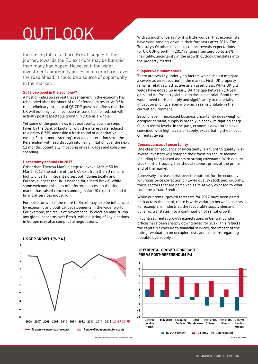## OUTLOOK

Increasing talk of a 'hard Brexit' suggests the journey towards the EU exit door may be bumpier than many had hoped. However, if the wider investment community prices in too much risk over the road ahead, it could be a source of opportunity in the market.

#### **So far, so good in the economy?**

A host of indicators reveal that sentiment in the economy has rebounded after the shock of the Referendum result. At 0.5%, the preliminary estimate of Q3 GDP growth confirms that the UK will not only avoid recession as some had feared, but will actually post respectable growth in 2016 as a whole.

Yet some of the good news is at least partly down to steps taken by the Bank of England, with the interest rate reduced to a paltry 0.25% alongside a fresh round of quantitative easing. Furthermore, sterling's marked depreciation since the Referendum will feed through into rising inflation over the next 12 months, potentially impacting on real wages and consumer spending.

#### **Uncertainty abounds in 2017**

Other than Theresa May's pledge to invoke Article 50 by March 2017, the nature of the UK's exit from the EU remains highly uncertain. Recent noises, both domestically and in Europe, suggest the UK is headed for a 'hard Brexit'. While some welcome this, loss of unfettered access to the single market has raised concerns among major UK exporters and the financial services industry.

For better or worse, the route to Brexit may also be influenced by economic and political developments in the wider world. For example, the result of November's US election may 'trump' any global concerns over Brexit, while a string of key elections in Europe may also complicate negotiations.



#### **UK GDP GROWTH (% P.A.)**

Source: Treasury consensus forecast, ONS

With so much uncertainty it is little wonder that economists have wide-ranging views in their forecasts after 2016. The Treasury's October consensus report reveals expectations for UK GDP growth in 2017 ranging from zero up to 2.6%. Inevitably, uncertainty in the growth outlook translates into the property market.

#### **Supportive fundamentals**

There are two key underlying factors which should mitigate a severe adverse reaction in the market. First, UK property remains relatively attractive as an asset class. While UK gilt yields have edged up in early Q4, the gap between 10-year gilts and All Property yields remains substantial. Bond rates would need to rise sharply and significantly to materially impact on pricing, a scenario which seems unlikely in the current environment.

Second, even if increased business uncertainty does weigh on occupier demand, supply is broadly in check, mitigating sharp falls in rental levels. In the past, economic downturns have coincided with high levels of supply, exacerbating the impact on rental levels.

#### **Consequences of uncertainty**

One clear consequence of uncertainty is a flight to quality. Risk averse investors will sharpen their focus on secure income, including long-leased assets to strong covenants. With quality stock in short supply, this should support prices at the prime end of the market.

Conversely, increased risk over the outlook for the economy will focus price correction on lower quality stock and, crucially, those sectors that are perceived as relatively exposed to what could be a 'hard Brexit'.

While our rental growth forecasts for 2017 have been pared back across the board, there is wide variation between sectors. For example, in Industrial, the favourable supply-demand dynamic translates into a continuation of rental growth.

In contrast, rental growth expectations in Central London offices have been sharply downgraded for 2017. This reflects the capital's exposure to financial services, the impact of the rating revaluation on occupier costs and concerns regarding possible oversupply.

#### 5 L  $\overline{\mathbf{a}}$  $\overline{\phantom{a}}$  $\mathbf{1}$ n  $-1$ -2  $\cdot$ Central Industrial Shopping Retail Rest of UK Rest of UK Central Centres Warehouses Offices London Shops London Retail Offices  $\Box$  03 2016 (latest) 01 2016 (Pre-Referendum) Source: RealFOR

**2017 RENTAL GROWTH FORECAST: PRE VS POST-REFERENDUM (%)**